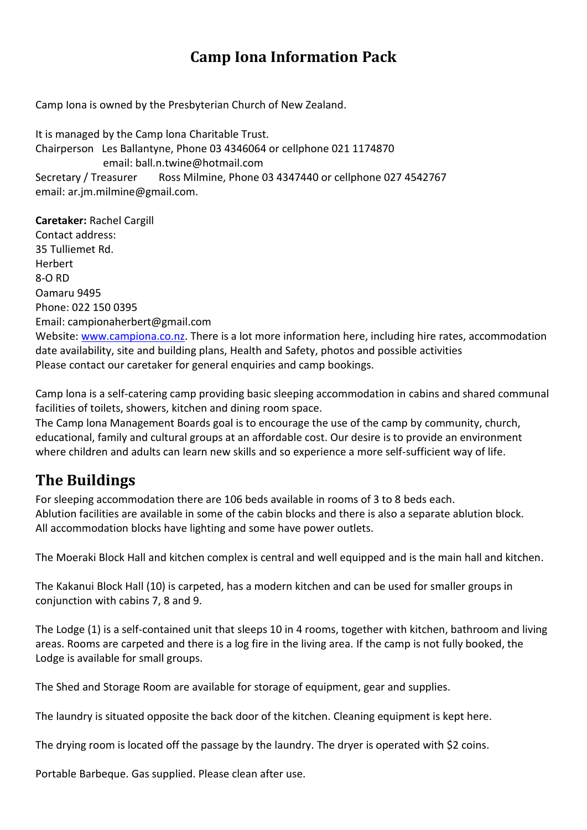# **Camp Iona Information Pack**

Camp Iona is owned by the Presbyterian Church of New Zealand.

It is managed by the Camp lona Charitable Trust. Chairperson Les Ballantyne, Phone 03 4346064 or cellphone 021 1174870 email: ball.n.twine@hotmail.com Secretary / Treasurer Ross Milmine, Phone 03 4347440 or cellphone 027 4542767 email: ar.jm.milmine@gmail.com.

**Caretaker:** Rachel Cargill Contact address: 35 Tulliemet Rd. Herbert 8-O RD Oamaru 9495 Phone: 022 150 0395 Email: campionaherbert@gmail.com Website: [www.campiona.co.nz.](http://www.campiona.co.nz/) There is a lot more information here, including hire rates, accommodation date availability, site and building plans, Health and Safety, photos and possible activities Please contact our caretaker for general enquiries and camp bookings.

Camp lona is a self-catering camp providing basic sleeping accommodation in cabins and shared communal facilities of toilets, showers, kitchen and dining room space.

The Camp lona Management Boards goal is to encourage the use of the camp by community, church, educational, family and cultural groups at an affordable cost. Our desire is to provide an environment where children and adults can learn new skills and so experience a more self-sufficient way of life.

# **The Buildings**

For sleeping accommodation there are 106 beds available in rooms of 3 to 8 beds each. Ablution facilities are available in some of the cabin blocks and there is also a separate ablution block. All accommodation blocks have lighting and some have power outlets.

The Moeraki Block Hall and kitchen complex is central and well equipped and is the main hall and kitchen.

The Kakanui Block Hall (10) is carpeted, has a modern kitchen and can be used for smaller groups in conjunction with cabins 7, 8 and 9.

The Lodge (1) is a self-contained unit that sleeps 10 in 4 rooms, together with kitchen, bathroom and living areas. Rooms are carpeted and there is a log fire in the living area. If the camp is not fully booked, the Lodge is available for small groups.

The Shed and Storage Room are available for storage of equipment, gear and supplies.

The laundry is situated opposite the back door of the kitchen. Cleaning equipment is kept here.

The drying room is located off the passage by the laundry. The dryer is operated with \$2 coins.

Portable Barbeque. Gas supplied. Please clean after use.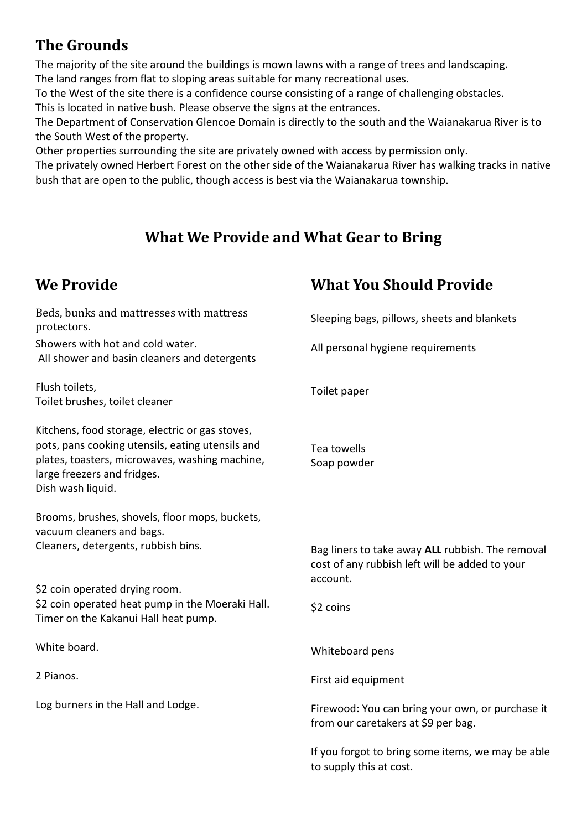# **The Grounds**

The majority of the site around the buildings is mown lawns with a range of trees and landscaping. The land ranges from flat to sloping areas suitable for many recreational uses.

To the West of the site there is a confidence course consisting of a range of challenging obstacles.

This is located in native bush. Please observe the signs at the entrances.

The Department of Conservation Glencoe Domain is directly to the south and the Waianakarua River is to the South West of the property.

Other properties surrounding the site are privately owned with access by permission only.

The privately owned Herbert Forest on the other side of the Waianakarua River has walking tracks in native bush that are open to the public, though access is best via the Waianakarua township.

# **What We Provide and What Gear to Bring**

**What You Should Provide**

# **We Provide**

| Beds, bunks and mattresses with mattress<br>protectors.                                                                                                                                                   | Sleeping bags, pillows, sheets and blankets                                                                                 |
|-----------------------------------------------------------------------------------------------------------------------------------------------------------------------------------------------------------|-----------------------------------------------------------------------------------------------------------------------------|
| Showers with hot and cold water.<br>All shower and basin cleaners and detergents                                                                                                                          | All personal hygiene requirements                                                                                           |
| Flush toilets,<br>Toilet brushes, toilet cleaner                                                                                                                                                          | Toilet paper                                                                                                                |
| Kitchens, food storage, electric or gas stoves,<br>pots, pans cooking utensils, eating utensils and<br>plates, toasters, microwaves, washing machine,<br>large freezers and fridges.<br>Dish wash liquid. | Tea towells<br>Soap powder                                                                                                  |
| Brooms, brushes, shovels, floor mops, buckets,<br>vacuum cleaners and bags.<br>Cleaners, detergents, rubbish bins.<br>\$2 coin operated drying room.<br>\$2 coin operated heat pump in the Moeraki Hall.  | Bag liners to take away ALL rubbish. The removal<br>cost of any rubbish left will be added to your<br>account.<br>\$2 coins |
| Timer on the Kakanui Hall heat pump.                                                                                                                                                                      |                                                                                                                             |
| White board.                                                                                                                                                                                              | Whiteboard pens                                                                                                             |
| 2 Pianos.                                                                                                                                                                                                 | First aid equipment                                                                                                         |
| Log burners in the Hall and Lodge.                                                                                                                                                                        | Firewood: You can bring your own, or purchase it<br>from our caretakers at \$9 per bag.                                     |
|                                                                                                                                                                                                           | If you forgot to bring some items, we may be able<br>to supply this at cost.                                                |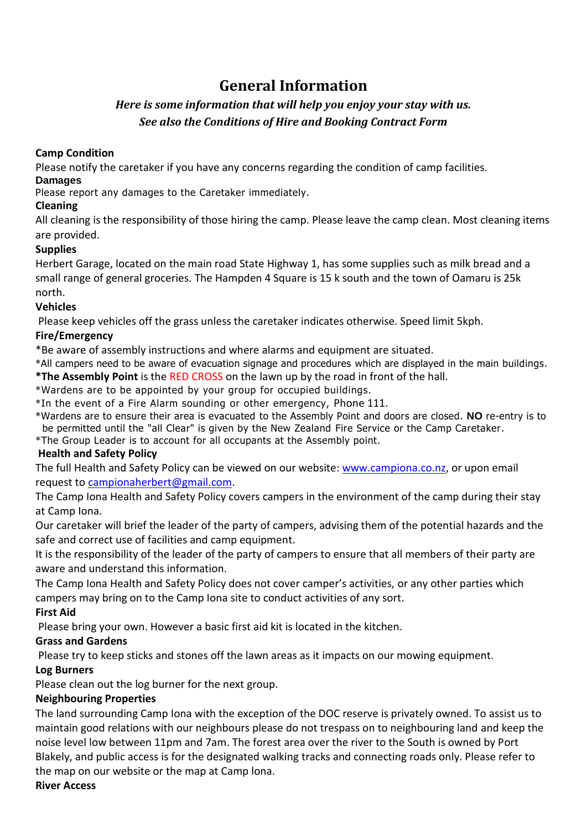# **General Information**

## *Here is some information that will help you enjoy your stay with us. See also the Conditions of Hire and Booking Contract Form*

## **Camp Condition**

Please notify the caretaker if you have any concerns regarding the condition of camp facilities.

## **Damages**

Please report any damages to the Caretaker immediately.

## **Cleaning**

All cleaning is the responsibility of those hiring the camp. Please leave the camp clean. Most cleaning items are provided.

## **Supplies**

Herbert Garage, located on the main road State Highway 1, has some supplies such as milk bread and a small range of general groceries. The Hampden 4 Square is 15 k south and the town of Oamaru is 25k north.

## **Vehicles**

Please keep vehicles off the grass unless the caretaker indicates otherwise. Speed limit 5kph.

## **Fire/Emergency**

\*Be aware of assembly instructions and where alarms and equipment are situated.

\*All campers need to be aware of evacuation signage and procedures which are displayed in the main buildings. **\*The Assembly Point** is the RED CROSS on the lawn up by the road in front of the hall.

\*Wardens are to be appointed by your group for occupied buildings.

\*In the event of a Fire Alarm sounding or other emergency, Phone 111.

\*Wardens are to ensure their area is evacuated to the Assembly Point and doors are closed. **NO** re-entry is to be permitted until the "all Clear" is given by the New Zealand Fire Service or the Camp Caretaker.

\*The Group Leader is to account for all occupants at the Assembly point.

## **Health and Safety Policy**

The full Health and Safety Policy can be viewed on our website: [www.campiona.co.nz,](http://www.campiona.co.nz/) or upon email request to [campionaherbert@gmail.com.](mailto:campionaherbert@gmail.com)

The Camp Iona Health and Safety Policy covers campers in the environment of the camp during their stay at Camp Iona.

Our caretaker will brief the leader of the party of campers, advising them of the potential hazards and the safe and correct use of facilities and camp equipment.

It is the responsibility of the leader of the party of campers to ensure that all members of their party are aware and understand this information.

The Camp Iona Health and Safety Policy does not cover camper's activities, or any other parties which campers may bring on to the Camp Iona site to conduct activities of any sort.

## **First Aid**

Please bring your own. However a basic first aid kit is located in the kitchen.

## **Grass and Gardens**

Please try to keep sticks and stones off the lawn areas as it impacts on our mowing equipment.

## **Log Burners**

Please clean out the log burner for the next group.

## **Neighbouring Properties**

The land surrounding Camp Iona with the exception of the DOC reserve is privately owned. To assist us to maintain good relations with our neighbours please do not trespass on to neighbouring land and keep the noise level low between 11pm and 7am. The forest area over the river to the South is owned by Port Blakely, and public access is for the designated walking tracks and connecting roads only. Please refer to the map on our website or the map at Camp lona.

#### **River Access**